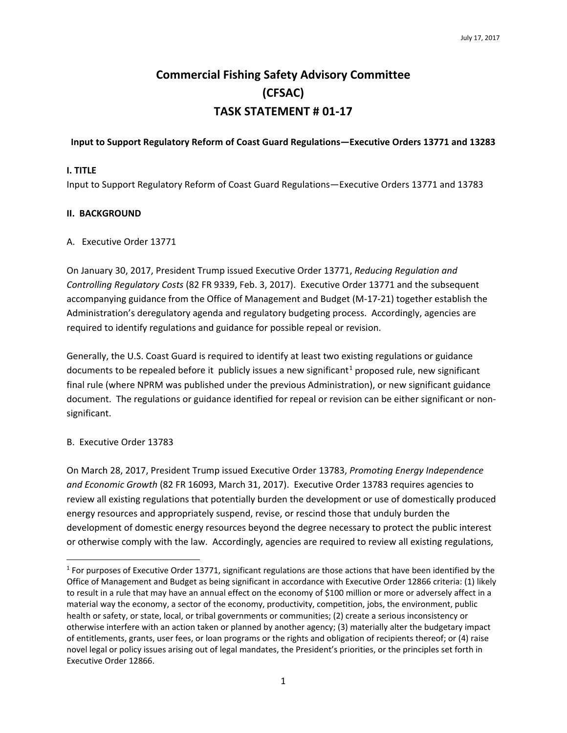# **Commercial Fishing Safety Advisory Committee (CFSAC) TASK STATEMENT # 01-17**

#### **Input to Support Regulatory Reform of Coast Guard Regulations—Executive Orders 13771 and 13283**

## **I. TITLE**

Input to Support Regulatory Reform of Coast Guard Regulations—Executive Orders 13771 and 13783

### **II. BACKGROUND**

### A. Executive Order 13771

On January 30, 2017, President Trump issued Executive Order 13771, *Reducing Regulation and Controlling Regulatory Costs* (82 FR 9339, Feb. 3, 2017). Executive Order 13771 and the subsequent accompanying guidance from the Office of Management and Budget (M-17-21) together establish the Administration's deregulatory agenda and regulatory budgeting process. Accordingly, agencies are required to identify regulations and guidance for possible repeal or revision.

Generally, the U.S. Coast Guard is required to identify at least two existing regulations or guidance documents to be repealed before it publicly issues a new significant<sup>[1](#page-0-0)</sup> proposed rule, new significant final rule (where NPRM was published under the previous Administration), or new significant guidance document. The regulations or guidance identified for repeal or revision can be either significant or nonsignificant.

# B. Executive Order 13783

On March 28, 2017, President Trump issued Executive Order 13783, *Promoting Energy Independence and Economic Growth* (82 FR 16093, March 31, 2017). Executive Order 13783 requires agencies to review all existing regulations that potentially burden the development or use of domestically produced energy resources and appropriately suspend, revise, or rescind those that unduly burden the development of domestic energy resources beyond the degree necessary to protect the public interest or otherwise comply with the law. Accordingly, agencies are required to review all existing regulations,

<span id="page-0-0"></span> $1$  For purposes of Executive Order 13771, significant regulations are those actions that have been identified by the Office of Management and Budget as being significant in accordance with Executive Order 12866 criteria: (1) likely to result in a rule that may have an annual effect on the economy of \$100 million or more or adversely affect in a material way the economy, a sector of the economy, productivity, competition, jobs, the environment, public health or safety, or state, local, or tribal governments or communities; (2) create a serious inconsistency or otherwise interfere with an action taken or planned by another agency; (3) materially alter the budgetary impact of entitlements, grants, user fees, or loan programs or the rights and obligation of recipients thereof; or (4) raise novel legal or policy issues arising out of legal mandates, the President's priorities, or the principles set forth in Executive Order 12866.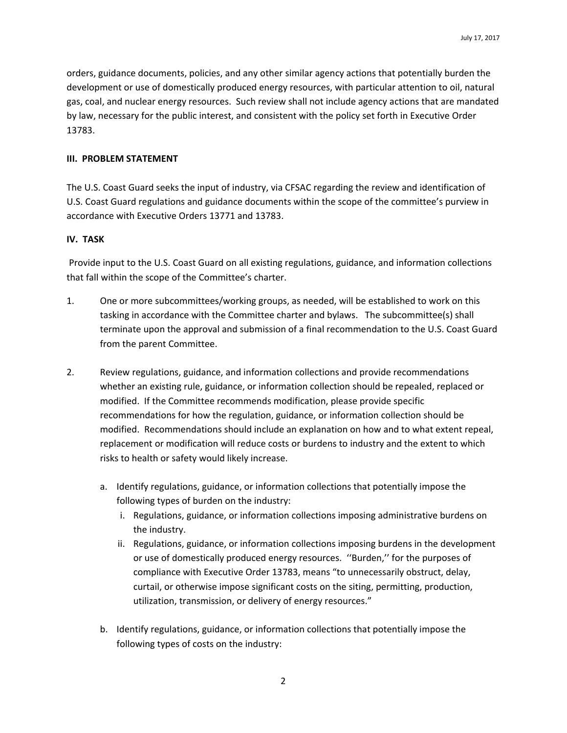orders, guidance documents, policies, and any other similar agency actions that potentially burden the development or use of domestically produced energy resources, with particular attention to oil, natural gas, coal, and nuclear energy resources. Such review shall not include agency actions that are mandated by law, necessary for the public interest, and consistent with the policy set forth in Executive Order 13783.

#### **III. PROBLEM STATEMENT**

The U.S. Coast Guard seeks the input of industry, via CFSAC regarding the review and identification of U.S. Coast Guard regulations and guidance documents within the scope of the committee's purview in accordance with Executive Orders 13771 and 13783.

### **IV. TASK**

Provide input to the U.S. Coast Guard on all existing regulations, guidance, and information collections that fall within the scope of the Committee's charter.

- 1. One or more subcommittees/working groups, as needed, will be established to work on this tasking in accordance with the Committee charter and bylaws. The subcommittee(s) shall terminate upon the approval and submission of a final recommendation to the U.S. Coast Guard from the parent Committee.
- 2. Review regulations, guidance, and information collections and provide recommendations whether an existing rule, guidance, or information collection should be repealed, replaced or modified. If the Committee recommends modification, please provide specific recommendations for how the regulation, guidance, or information collection should be modified. Recommendations should include an explanation on how and to what extent repeal, replacement or modification will reduce costs or burdens to industry and the extent to which risks to health or safety would likely increase.
	- a. Identify regulations, guidance, or information collections that potentially impose the following types of burden on the industry:
		- i. Regulations, guidance, or information collections imposing administrative burdens on the industry.
		- ii. Regulations, guidance, or information collections imposing burdens in the development or use of domestically produced energy resources. ''Burden,'' for the purposes of compliance with Executive Order 13783, means "to unnecessarily obstruct, delay, curtail, or otherwise impose significant costs on the siting, permitting, production, utilization, transmission, or delivery of energy resources."
	- b. Identify regulations, guidance, or information collections that potentially impose the following types of costs on the industry: